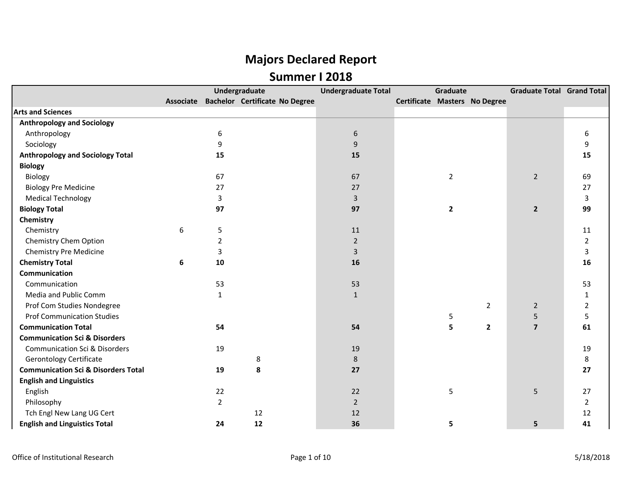|                                                |   |                | Undergraduate                            | <b>Undergraduate Total</b> | Graduate       |                               | <b>Graduate Total Grand Total</b> |                |
|------------------------------------------------|---|----------------|------------------------------------------|----------------------------|----------------|-------------------------------|-----------------------------------|----------------|
|                                                |   |                | Associate Bachelor Certificate No Degree |                            |                | Certificate Masters No Degree |                                   |                |
| <b>Arts and Sciences</b>                       |   |                |                                          |                            |                |                               |                                   |                |
| <b>Anthropology and Sociology</b>              |   |                |                                          |                            |                |                               |                                   |                |
| Anthropology                                   |   | 6              |                                          | $\boldsymbol{6}$           |                |                               |                                   | 6              |
| Sociology                                      |   | 9              |                                          | 9                          |                |                               |                                   | 9              |
| <b>Anthropology and Sociology Total</b>        |   | 15             |                                          | 15                         |                |                               |                                   | 15             |
| <b>Biology</b>                                 |   |                |                                          |                            |                |                               |                                   |                |
| Biology                                        |   | 67             |                                          | 67                         | $\overline{2}$ |                               | $\overline{2}$                    | 69             |
| <b>Biology Pre Medicine</b>                    |   | 27             |                                          | 27                         |                |                               |                                   | 27             |
| <b>Medical Technology</b>                      |   | 3              |                                          | $\overline{3}$             |                |                               |                                   | 3              |
| <b>Biology Total</b>                           |   | 97             |                                          | 97                         | $\mathbf{2}$   |                               | $\overline{2}$                    | 99             |
| Chemistry                                      |   |                |                                          |                            |                |                               |                                   |                |
| Chemistry                                      | 6 | 5              |                                          | 11                         |                |                               |                                   | 11             |
| Chemistry Chem Option                          |   | $\overline{2}$ |                                          | $\overline{2}$             |                |                               |                                   | $\overline{2}$ |
| <b>Chemistry Pre Medicine</b>                  |   | 3              |                                          | 3                          |                |                               |                                   | 3              |
| <b>Chemistry Total</b>                         | 6 | 10             |                                          | 16                         |                |                               |                                   | 16             |
| Communication                                  |   |                |                                          |                            |                |                               |                                   |                |
| Communication                                  |   | 53             |                                          | 53                         |                |                               |                                   | 53             |
| Media and Public Comm                          |   | $\mathbf{1}$   |                                          | $\mathbf{1}$               |                |                               |                                   | $\mathbf{1}$   |
| Prof Com Studies Nondegree                     |   |                |                                          |                            |                | $\overline{2}$                | $\overline{2}$                    | $\overline{2}$ |
| <b>Prof Communication Studies</b>              |   |                |                                          |                            | 5              |                               | 5                                 | 5              |
| <b>Communication Total</b>                     |   | 54             |                                          | 54                         | 5              | $\mathbf{2}$                  | $\overline{7}$                    | 61             |
| <b>Communication Sci &amp; Disorders</b>       |   |                |                                          |                            |                |                               |                                   |                |
| <b>Communication Sci &amp; Disorders</b>       |   | 19             |                                          | 19                         |                |                               |                                   | 19             |
| <b>Gerontology Certificate</b>                 |   |                | 8                                        | 8                          |                |                               |                                   | 8              |
| <b>Communication Sci &amp; Disorders Total</b> |   | 19             | 8                                        | 27                         |                |                               |                                   | 27             |
| <b>English and Linguistics</b>                 |   |                |                                          |                            |                |                               |                                   |                |
| English                                        |   | 22             |                                          | 22                         | 5              |                               | 5                                 | 27             |
| Philosophy                                     |   | $\overline{2}$ |                                          | $\overline{2}$             |                |                               |                                   | $\overline{2}$ |
| Tch Engl New Lang UG Cert                      |   |                | 12                                       | 12                         |                |                               |                                   | 12             |
| <b>English and Linguistics Total</b>           |   | 24             | 12                                       | 36                         | 5              |                               | 5                                 | 41             |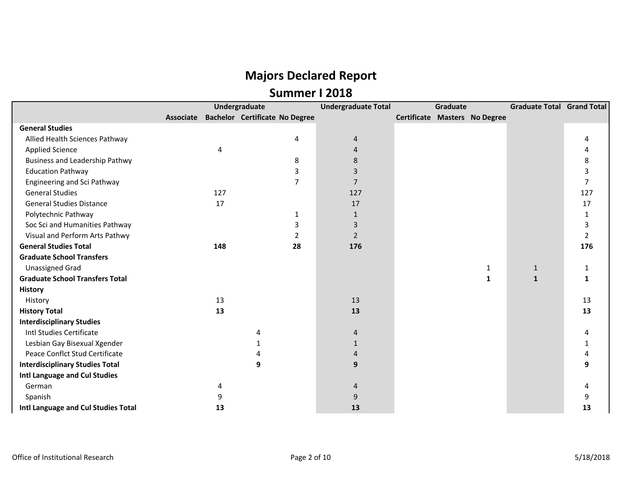|                                        |           |     | Undergraduate                         | <b>Undergraduate Total</b> | Graduate |  |                               | <b>Graduate Total Grand Total</b> |                |
|----------------------------------------|-----------|-----|---------------------------------------|----------------------------|----------|--|-------------------------------|-----------------------------------|----------------|
|                                        | Associate |     | <b>Bachelor Certificate No Degree</b> |                            |          |  | Certificate Masters No Degree |                                   |                |
| <b>General Studies</b>                 |           |     |                                       |                            |          |  |                               |                                   |                |
| Allied Health Sciences Pathway         |           |     | 4                                     | 4                          |          |  |                               |                                   | 4              |
| <b>Applied Science</b>                 |           | 4   |                                       | $\overline{4}$             |          |  |                               |                                   |                |
| <b>Business and Leadership Pathwy</b>  |           |     | 8                                     | 8                          |          |  |                               |                                   | 8              |
| <b>Education Pathway</b>               |           |     | 3                                     | 3                          |          |  |                               |                                   | 3              |
| Engineering and Sci Pathway            |           |     | 7                                     | $\overline{7}$             |          |  |                               |                                   | $\overline{7}$ |
| <b>General Studies</b>                 |           | 127 |                                       | 127                        |          |  |                               |                                   | 127            |
| <b>General Studies Distance</b>        |           | 17  |                                       | 17                         |          |  |                               |                                   | 17             |
| Polytechnic Pathway                    |           |     | 1                                     | $\mathbf{1}$               |          |  |                               |                                   | 1              |
| Soc Sci and Humanities Pathway         |           |     | 3                                     | 3                          |          |  |                               |                                   | 3              |
| Visual and Perform Arts Pathwy         |           |     | 2                                     | $\overline{2}$             |          |  |                               |                                   | 2              |
| <b>General Studies Total</b>           |           | 148 | 28                                    | 176                        |          |  |                               |                                   | 176            |
| <b>Graduate School Transfers</b>       |           |     |                                       |                            |          |  |                               |                                   |                |
| <b>Unassigned Grad</b>                 |           |     |                                       |                            |          |  | 1                             | $\mathbf{1}$                      | 1              |
| <b>Graduate School Transfers Total</b> |           |     |                                       |                            |          |  | $\mathbf{1}$                  | $\mathbf{1}$                      | 1              |
| <b>History</b>                         |           |     |                                       |                            |          |  |                               |                                   |                |
| History                                |           | 13  |                                       | 13                         |          |  |                               |                                   | 13             |
| <b>History Total</b>                   |           | 13  |                                       | 13                         |          |  |                               |                                   | 13             |
| <b>Interdisciplinary Studies</b>       |           |     |                                       |                            |          |  |                               |                                   |                |
| Intl Studies Certificate               |           |     |                                       | 4                          |          |  |                               |                                   | 4              |
| Lesbian Gay Bisexual Xgender           |           |     |                                       | 1                          |          |  |                               |                                   |                |
| Peace Conflct Stud Certificate         |           |     |                                       | 4                          |          |  |                               |                                   |                |
| <b>Interdisciplinary Studies Total</b> |           |     | 9                                     | 9                          |          |  |                               |                                   | q              |
| Intl Language and Cul Studies          |           |     |                                       |                            |          |  |                               |                                   |                |
| German                                 |           | 4   |                                       | 4                          |          |  |                               |                                   |                |
| Spanish                                |           | 9   |                                       | 9                          |          |  |                               |                                   | 9              |
| Intl Language and Cul Studies Total    |           | 13  |                                       | 13                         |          |  |                               |                                   | 13             |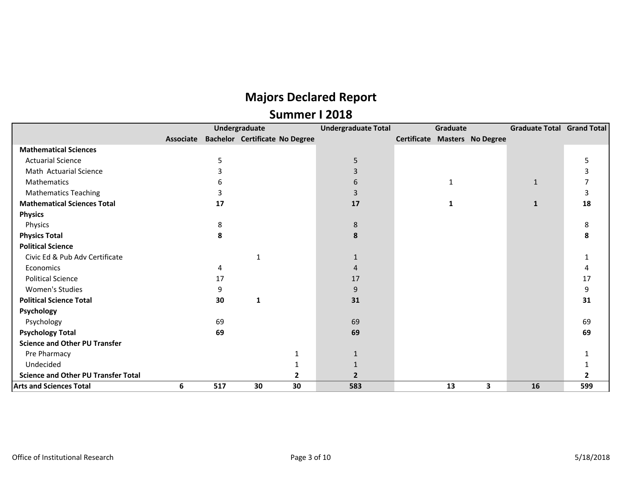|                                            |           |     | Undergraduate                         | <b>Undergraduate Total</b> |                               | Graduate     |   | Graduate Total Grand Total |     |
|--------------------------------------------|-----------|-----|---------------------------------------|----------------------------|-------------------------------|--------------|---|----------------------------|-----|
|                                            | Associate |     | <b>Bachelor Certificate No Degree</b> |                            | Certificate Masters No Degree |              |   |                            |     |
| <b>Mathematical Sciences</b>               |           |     |                                       |                            |                               |              |   |                            |     |
| <b>Actuarial Science</b>                   |           | 5   |                                       | 5                          |                               |              |   |                            | 5   |
| Math Actuarial Science                     |           |     |                                       | 3                          |                               |              |   |                            | 3   |
| Mathematics                                |           |     |                                       | 6                          |                               | $\mathbf{1}$ |   | $\mathbf{1}$               |     |
| <b>Mathematics Teaching</b>                |           |     |                                       |                            |                               |              |   |                            | 3   |
| <b>Mathematical Sciences Total</b>         |           | 17  |                                       | 17                         |                               | -1           |   | 1                          | 18  |
| <b>Physics</b>                             |           |     |                                       |                            |                               |              |   |                            |     |
| Physics                                    |           | 8   |                                       | 8                          |                               |              |   |                            | 8   |
| <b>Physics Total</b>                       |           | 8   |                                       | 8                          |                               |              |   |                            | 8   |
| <b>Political Science</b>                   |           |     |                                       |                            |                               |              |   |                            |     |
| Civic Ed & Pub Adv Certificate             |           |     | 1                                     |                            |                               |              |   |                            |     |
| Economics                                  |           | 4   |                                       | $\Lambda$                  |                               |              |   |                            |     |
| <b>Political Science</b>                   |           | 17  |                                       | 17                         |                               |              |   |                            | 17  |
| Women's Studies                            |           | 9   |                                       | 9                          |                               |              |   |                            | 9   |
| <b>Political Science Total</b>             |           | 30  | 1                                     | 31                         |                               |              |   |                            | 31  |
| Psychology                                 |           |     |                                       |                            |                               |              |   |                            |     |
| Psychology                                 |           | 69  |                                       | 69                         |                               |              |   |                            | 69  |
| <b>Psychology Total</b>                    |           | 69  |                                       | 69                         |                               |              |   |                            | 69  |
| <b>Science and Other PU Transfer</b>       |           |     |                                       |                            |                               |              |   |                            |     |
| Pre Pharmacy                               |           |     |                                       |                            |                               |              |   |                            |     |
| Undecided                                  |           |     |                                       |                            |                               |              |   |                            |     |
| <b>Science and Other PU Transfer Total</b> |           |     |                                       |                            |                               |              |   |                            |     |
| <b>Arts and Sciences Total</b>             | 6         | 517 | 30<br>30                              | 583                        |                               | 13           | 3 | 16                         | 599 |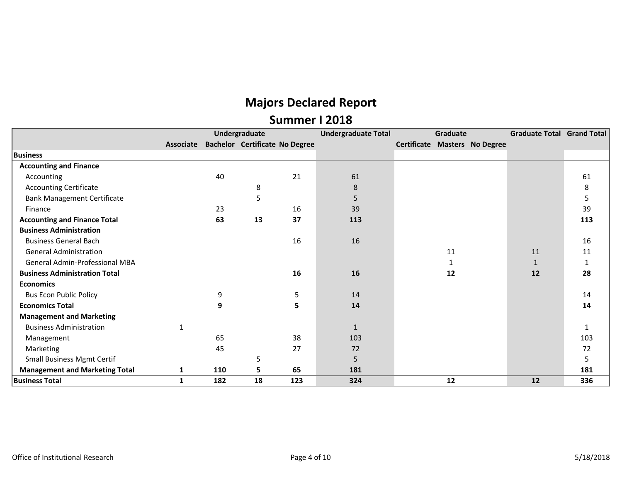|                                       |           |     | Undergraduate                         |     | <b>Undergraduate Total</b> | Graduate |                                      | <b>Graduate Total Grand Total</b> |              |
|---------------------------------------|-----------|-----|---------------------------------------|-----|----------------------------|----------|--------------------------------------|-----------------------------------|--------------|
|                                       | Associate |     | <b>Bachelor Certificate No Degree</b> |     |                            |          | <b>Certificate Masters No Degree</b> |                                   |              |
| <b>Business</b>                       |           |     |                                       |     |                            |          |                                      |                                   |              |
| <b>Accounting and Finance</b>         |           |     |                                       |     |                            |          |                                      |                                   |              |
| Accounting                            |           | 40  |                                       | 21  | 61                         |          |                                      |                                   | 61           |
| <b>Accounting Certificate</b>         |           |     | 8                                     |     | 8                          |          |                                      |                                   | 8            |
| <b>Bank Management Certificate</b>    |           |     | 5                                     |     | 5                          |          |                                      |                                   | 5            |
| Finance                               |           | 23  |                                       | 16  | 39                         |          |                                      |                                   | 39           |
| <b>Accounting and Finance Total</b>   |           | 63  | 13                                    | 37  | 113                        |          |                                      |                                   | 113          |
| <b>Business Administration</b>        |           |     |                                       |     |                            |          |                                      |                                   |              |
| <b>Business General Bach</b>          |           |     |                                       | 16  | 16                         |          |                                      |                                   | 16           |
| <b>General Administration</b>         |           |     |                                       |     |                            | 11       |                                      | 11                                | 11           |
| <b>General Admin-Professional MBA</b> |           |     |                                       |     |                            |          |                                      | $\mathbf{1}$                      | 1            |
| <b>Business Administration Total</b>  |           |     |                                       | 16  | 16                         | 12       |                                      | 12                                | 28           |
| <b>Economics</b>                      |           |     |                                       |     |                            |          |                                      |                                   |              |
| <b>Bus Econ Public Policy</b>         |           | 9   |                                       | 5   | 14                         |          |                                      |                                   | 14           |
| <b>Economics Total</b>                |           | 9   |                                       | 5   | 14                         |          |                                      |                                   | 14           |
| <b>Management and Marketing</b>       |           |     |                                       |     |                            |          |                                      |                                   |              |
| <b>Business Administration</b>        |           |     |                                       |     | $\mathbf{1}$               |          |                                      |                                   | $\mathbf{1}$ |
| Management                            |           | 65  |                                       | 38  | 103                        |          |                                      |                                   | 103          |
| Marketing                             |           | 45  |                                       | 27  | 72                         |          |                                      |                                   | 72           |
| <b>Small Business Mgmt Certif</b>     |           |     | 5                                     |     | 5                          |          |                                      |                                   | 5            |
| <b>Management and Marketing Total</b> | 1         | 110 | 5                                     | 65  | 181                        |          |                                      |                                   | 181          |
| <b>Business Total</b>                 | 1         | 182 | 18                                    | 123 | 324                        | 12       |                                      | 12                                | 336          |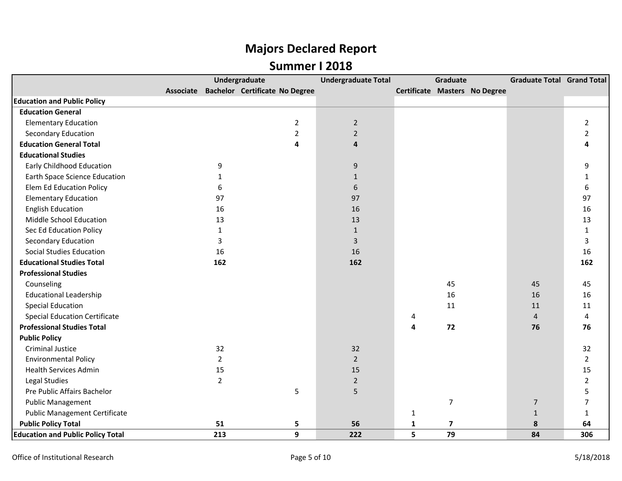|                                          |                | <b>Undergraduate</b>                     |                | <b>Undergraduate Total</b> |              | Graduate                |                               | <b>Graduate Total Grand Total</b> |                |
|------------------------------------------|----------------|------------------------------------------|----------------|----------------------------|--------------|-------------------------|-------------------------------|-----------------------------------|----------------|
|                                          |                | Associate Bachelor Certificate No Degree |                |                            |              |                         | Certificate Masters No Degree |                                   |                |
| <b>Education and Public Policy</b>       |                |                                          |                |                            |              |                         |                               |                                   |                |
| <b>Education General</b>                 |                |                                          |                |                            |              |                         |                               |                                   |                |
| <b>Elementary Education</b>              |                |                                          | $\overline{2}$ | $\overline{2}$             |              |                         |                               |                                   | $\overline{2}$ |
| <b>Secondary Education</b>               |                |                                          | $\overline{2}$ | $\overline{2}$             |              |                         |                               |                                   | $\overline{2}$ |
| <b>Education General Total</b>           |                |                                          | 4              | 4                          |              |                         |                               |                                   |                |
| <b>Educational Studies</b>               |                |                                          |                |                            |              |                         |                               |                                   |                |
| <b>Early Childhood Education</b>         | 9              |                                          |                | 9                          |              |                         |                               |                                   | 9              |
| <b>Earth Space Science Education</b>     | 1              |                                          |                | $\mathbf{1}$               |              |                         |                               |                                   | $\mathbf{1}$   |
| Elem Ed Education Policy                 | 6              |                                          |                | 6                          |              |                         |                               |                                   | 6              |
| <b>Elementary Education</b>              | 97             |                                          |                | 97                         |              |                         |                               |                                   | 97             |
| <b>English Education</b>                 | 16             |                                          |                | 16                         |              |                         |                               |                                   | 16             |
| Middle School Education                  | 13             |                                          |                | 13                         |              |                         |                               |                                   | 13             |
| Sec Ed Education Policy                  | $\mathbf{1}$   |                                          |                | $\mathbf{1}$               |              |                         |                               |                                   | $\mathbf{1}$   |
| Secondary Education                      | 3              |                                          |                | 3                          |              |                         |                               |                                   | 3              |
| <b>Social Studies Education</b>          | 16             |                                          |                | 16                         |              |                         |                               |                                   | 16             |
| <b>Educational Studies Total</b>         | 162            |                                          |                | 162                        |              |                         |                               |                                   | 162            |
| <b>Professional Studies</b>              |                |                                          |                |                            |              |                         |                               |                                   |                |
| Counseling                               |                |                                          |                |                            |              | 45                      |                               | 45                                | 45             |
| <b>Educational Leadership</b>            |                |                                          |                |                            |              | 16                      |                               | 16                                | 16             |
| <b>Special Education</b>                 |                |                                          |                |                            |              | 11                      |                               | 11                                | 11             |
| <b>Special Education Certificate</b>     |                |                                          |                |                            | 4            |                         |                               | $\overline{4}$                    | $\overline{4}$ |
| <b>Professional Studies Total</b>        |                |                                          |                |                            | 4            | 72                      |                               | 76                                | 76             |
| <b>Public Policy</b>                     |                |                                          |                |                            |              |                         |                               |                                   |                |
| <b>Criminal Justice</b>                  | 32             |                                          |                | 32                         |              |                         |                               |                                   | 32             |
| <b>Environmental Policy</b>              | $\overline{2}$ |                                          |                | $\overline{2}$             |              |                         |                               |                                   | $\overline{2}$ |
| <b>Health Services Admin</b>             | 15             |                                          |                | 15                         |              |                         |                               |                                   | 15             |
| Legal Studies                            | $\overline{2}$ |                                          |                | $\overline{2}$             |              |                         |                               |                                   | $\overline{2}$ |
| Pre Public Affairs Bachelor              |                |                                          | 5              | 5                          |              |                         |                               |                                   | 5              |
| <b>Public Management</b>                 |                |                                          |                |                            |              | $\overline{7}$          |                               | $\overline{7}$                    | $\overline{7}$ |
| <b>Public Management Certificate</b>     |                |                                          |                |                            | $\mathbf{1}$ |                         |                               | $\mathbf{1}$                      | $\mathbf{1}$   |
| <b>Public Policy Total</b>               | 51             |                                          | 5              | 56                         | ${\bf 1}$    | $\overline{\mathbf{z}}$ |                               | 8                                 | 64             |
| <b>Education and Public Policy Total</b> | 213            |                                          | 9              | 222                        | 5            | 79                      |                               | 84                                | 306            |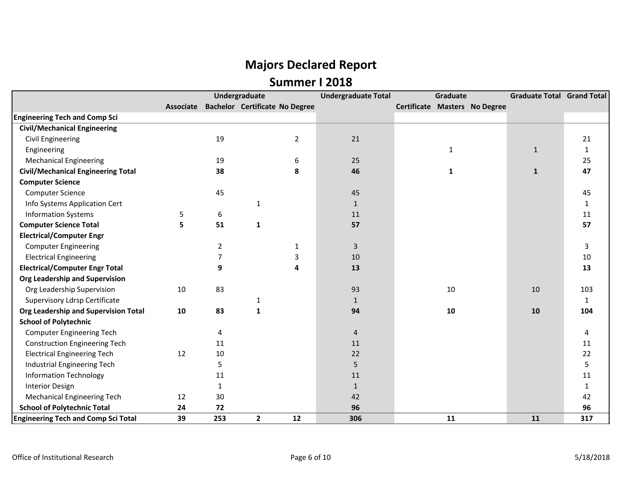|                                            |                  |              | Undergraduate                         |                | <b>Undergraduate Total</b> | <b>Graduate</b> |                               | <b>Graduate Total Grand Total</b> |              |
|--------------------------------------------|------------------|--------------|---------------------------------------|----------------|----------------------------|-----------------|-------------------------------|-----------------------------------|--------------|
|                                            | <b>Associate</b> |              | <b>Bachelor Certificate No Degree</b> |                |                            |                 | Certificate Masters No Degree |                                   |              |
| <b>Engineering Tech and Comp Sci</b>       |                  |              |                                       |                |                            |                 |                               |                                   |              |
| <b>Civil/Mechanical Engineering</b>        |                  |              |                                       |                |                            |                 |                               |                                   |              |
| <b>Civil Engineering</b>                   |                  | 19           |                                       | $\overline{2}$ | 21                         |                 |                               |                                   | 21           |
| Engineering                                |                  |              |                                       |                |                            | $\mathbf{1}$    |                               | $\mathbf{1}$                      | $\mathbf{1}$ |
| <b>Mechanical Engineering</b>              |                  | 19           |                                       | 6              | 25                         |                 |                               |                                   | 25           |
| <b>Civil/Mechanical Engineering Total</b>  |                  | 38           |                                       | 8              | 46                         | $\mathbf{1}$    |                               | $\mathbf{1}$                      | 47           |
| <b>Computer Science</b>                    |                  |              |                                       |                |                            |                 |                               |                                   |              |
| <b>Computer Science</b>                    |                  | 45           |                                       |                | 45                         |                 |                               |                                   | 45           |
| Info Systems Application Cert              |                  |              | 1                                     |                | 1                          |                 |                               |                                   |              |
| <b>Information Systems</b>                 | 5                | 6            |                                       |                | 11                         |                 |                               |                                   | 11           |
| <b>Computer Science Total</b>              | 5                | 51           | $\mathbf{1}$                          |                | 57                         |                 |                               |                                   | 57           |
| <b>Electrical/Computer Engr</b>            |                  |              |                                       |                |                            |                 |                               |                                   |              |
| <b>Computer Engineering</b>                |                  | 2            |                                       | 1              | 3                          |                 |                               |                                   | 3            |
| <b>Electrical Engineering</b>              |                  | 7            |                                       | 3              | 10                         |                 |                               |                                   | $10\,$       |
| <b>Electrical/Computer Engr Total</b>      |                  | 9            |                                       | 4              | 13                         |                 |                               |                                   | 13           |
| Org Leadership and Supervision             |                  |              |                                       |                |                            |                 |                               |                                   |              |
| Org Leadership Supervision                 | 10               | 83           |                                       |                | 93                         | 10              |                               | 10                                | 103          |
| <b>Supervisory Ldrsp Certificate</b>       |                  |              | 1                                     |                | $\mathbf{1}$               |                 |                               |                                   | 1            |
| Org Leadership and Supervision Total       | 10               | 83           | 1                                     |                | 94                         | 10              |                               | 10                                | 104          |
| <b>School of Polytechnic</b>               |                  |              |                                       |                |                            |                 |                               |                                   |              |
| <b>Computer Engineering Tech</b>           |                  | 4            |                                       |                | $\overline{4}$             |                 |                               |                                   | 4            |
| <b>Construction Engineering Tech</b>       |                  | 11           |                                       |                | 11                         |                 |                               |                                   | 11           |
| <b>Electrical Engineering Tech</b>         | 12               | 10           |                                       |                | 22                         |                 |                               |                                   | 22           |
| Industrial Engineering Tech                |                  | 5            |                                       |                | 5                          |                 |                               |                                   | 5            |
| <b>Information Technology</b>              |                  | 11           |                                       |                | 11                         |                 |                               |                                   | 11           |
| <b>Interior Design</b>                     |                  | $\mathbf{1}$ |                                       |                | $\mathbf{1}$               |                 |                               |                                   | 1            |
| <b>Mechanical Engineering Tech</b>         | 12               | 30           |                                       |                | 42                         |                 |                               |                                   | 42           |
| <b>School of Polytechnic Total</b>         | 24               | 72           |                                       |                | 96                         |                 |                               |                                   | 96           |
| <b>Engineering Tech and Comp Sci Total</b> | 39               | 253          | $\mathbf{2}$                          | 12             | 306                        | 11              |                               | 11                                | 317          |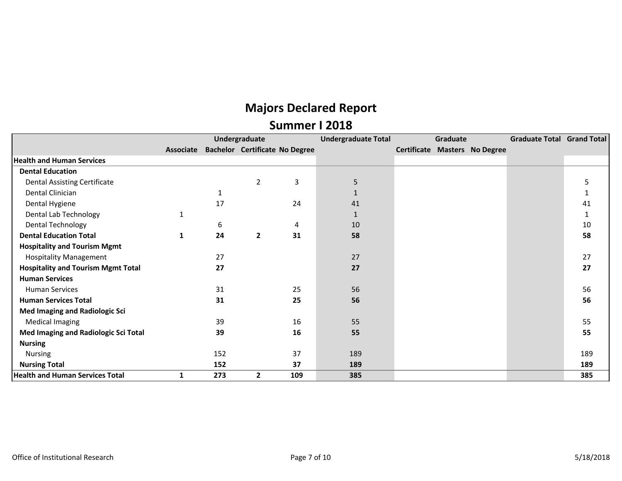|                                           |           |     | Undergraduate                         |     | <b>Undergraduate Total</b> | Graduate |                               | <b>Graduate Total Grand Total</b> |     |
|-------------------------------------------|-----------|-----|---------------------------------------|-----|----------------------------|----------|-------------------------------|-----------------------------------|-----|
|                                           | Associate |     | <b>Bachelor Certificate No Degree</b> |     |                            |          | Certificate Masters No Degree |                                   |     |
| <b>Health and Human Services</b>          |           |     |                                       |     |                            |          |                               |                                   |     |
| <b>Dental Education</b>                   |           |     |                                       |     |                            |          |                               |                                   |     |
| <b>Dental Assisting Certificate</b>       |           |     | $\overline{2}$                        | 3   | 5                          |          |                               |                                   | 5   |
| Dental Clinician                          |           | 1   |                                       |     |                            |          |                               |                                   | 1   |
| Dental Hygiene                            |           | 17  |                                       | 24  | 41                         |          |                               |                                   | 41  |
| Dental Lab Technology                     |           |     |                                       |     |                            |          |                               |                                   | 1   |
| Dental Technology                         |           | 6   |                                       | 4   | 10                         |          |                               |                                   | 10  |
| <b>Dental Education Total</b>             | 1         | 24  | $\overline{2}$                        | 31  | 58                         |          |                               |                                   | 58  |
| <b>Hospitality and Tourism Mgmt</b>       |           |     |                                       |     |                            |          |                               |                                   |     |
| <b>Hospitality Management</b>             |           | 27  |                                       |     | 27                         |          |                               |                                   | 27  |
| <b>Hospitality and Tourism Mgmt Total</b> |           | 27  |                                       |     | 27                         |          |                               |                                   | 27  |
| <b>Human Services</b>                     |           |     |                                       |     |                            |          |                               |                                   |     |
| Human Services                            |           | 31  |                                       | 25  | 56                         |          |                               |                                   | 56  |
| <b>Human Services Total</b>               |           | 31  |                                       | 25  | 56                         |          |                               |                                   | 56  |
| <b>Med Imaging and Radiologic Sci</b>     |           |     |                                       |     |                            |          |                               |                                   |     |
| <b>Medical Imaging</b>                    |           | 39  |                                       | 16  | 55                         |          |                               |                                   | 55  |
| Med Imaging and Radiologic Sci Total      |           | 39  |                                       | 16  | 55                         |          |                               |                                   | 55  |
| <b>Nursing</b>                            |           |     |                                       |     |                            |          |                               |                                   |     |
| Nursing                                   |           | 152 |                                       | 37  | 189                        |          |                               |                                   | 189 |
| <b>Nursing Total</b>                      |           | 152 |                                       | 37  | 189                        |          |                               |                                   | 189 |
| <b>Health and Human Services Total</b>    |           | 273 | $\overline{2}$                        | 109 | 385                        |          |                               |                                   | 385 |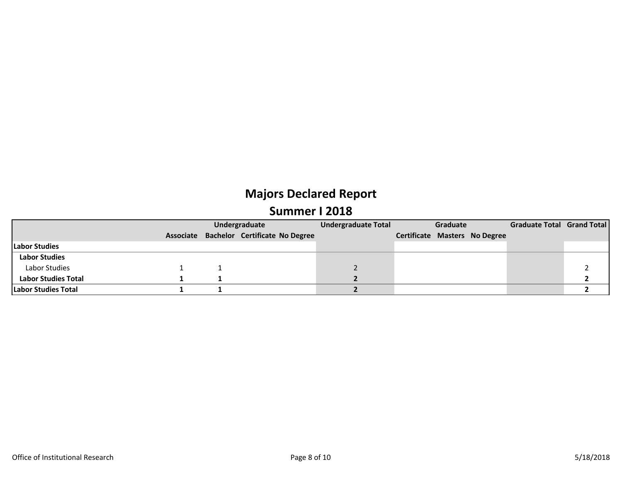|                            |  | Undergraduate                            | <b>Undergraduate Total</b> | Graduate |  |                                      | Graduate Total Grand Total |  |
|----------------------------|--|------------------------------------------|----------------------------|----------|--|--------------------------------------|----------------------------|--|
|                            |  | Associate Bachelor Certificate No Degree |                            |          |  | <b>Certificate Masters No Degree</b> |                            |  |
| Labor Studies              |  |                                          |                            |          |  |                                      |                            |  |
| <b>Labor Studies</b>       |  |                                          |                            |          |  |                                      |                            |  |
| Labor Studies              |  |                                          |                            |          |  |                                      |                            |  |
| <b>Labor Studies Total</b> |  |                                          |                            |          |  |                                      |                            |  |
| <b>Labor Studies Total</b> |  |                                          |                            |          |  |                                      |                            |  |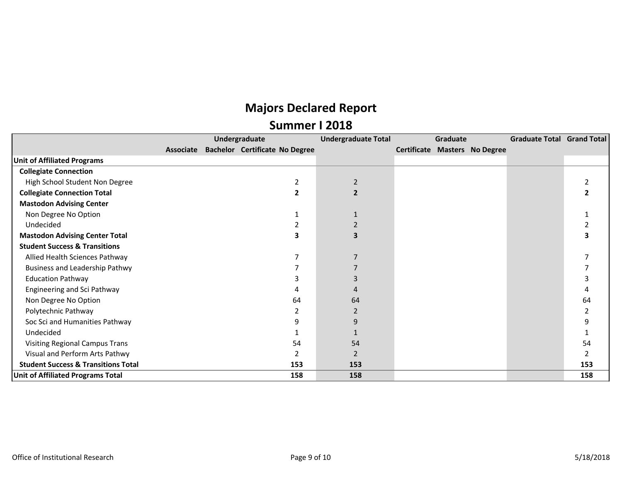|                                                |           | Undergraduate                         | <b>Undergraduate Total</b> | Graduate |                                      | Graduate Total Grand Total |     |
|------------------------------------------------|-----------|---------------------------------------|----------------------------|----------|--------------------------------------|----------------------------|-----|
|                                                | Associate | <b>Bachelor Certificate No Degree</b> |                            |          | <b>Certificate Masters No Degree</b> |                            |     |
| <b>Unit of Affiliated Programs</b>             |           |                                       |                            |          |                                      |                            |     |
| <b>Collegiate Connection</b>                   |           |                                       |                            |          |                                      |                            |     |
| High School Student Non Degree                 |           |                                       | $\overline{2}$             |          |                                      |                            |     |
| <b>Collegiate Connection Total</b>             |           |                                       | $\mathbf{2}$               |          |                                      |                            |     |
| <b>Mastodon Advising Center</b>                |           |                                       |                            |          |                                      |                            |     |
| Non Degree No Option                           |           |                                       |                            |          |                                      |                            |     |
| Undecided                                      |           |                                       |                            |          |                                      |                            |     |
| <b>Mastodon Advising Center Total</b>          |           | ર                                     |                            |          |                                      |                            |     |
| <b>Student Success &amp; Transitions</b>       |           |                                       |                            |          |                                      |                            |     |
| Allied Health Sciences Pathway                 |           |                                       |                            |          |                                      |                            |     |
| <b>Business and Leadership Pathwy</b>          |           |                                       |                            |          |                                      |                            |     |
| <b>Education Pathway</b>                       |           |                                       |                            |          |                                      |                            |     |
| Engineering and Sci Pathway                    |           |                                       |                            |          |                                      |                            |     |
| Non Degree No Option                           |           | 64                                    | 64                         |          |                                      |                            | 64  |
| Polytechnic Pathway                            |           |                                       | 2                          |          |                                      |                            |     |
| Soc Sci and Humanities Pathway                 |           | q                                     | 9                          |          |                                      |                            |     |
| Undecided                                      |           |                                       |                            |          |                                      |                            |     |
| <b>Visiting Regional Campus Trans</b>          |           | 54                                    | 54                         |          |                                      |                            | 54  |
| Visual and Perform Arts Pathwy                 |           |                                       | $\overline{2}$             |          |                                      |                            |     |
| <b>Student Success &amp; Transitions Total</b> |           | 153                                   | 153                        |          |                                      |                            | 153 |
| <b>Unit of Affiliated Programs Total</b>       |           | 158                                   | 158                        |          |                                      |                            | 158 |